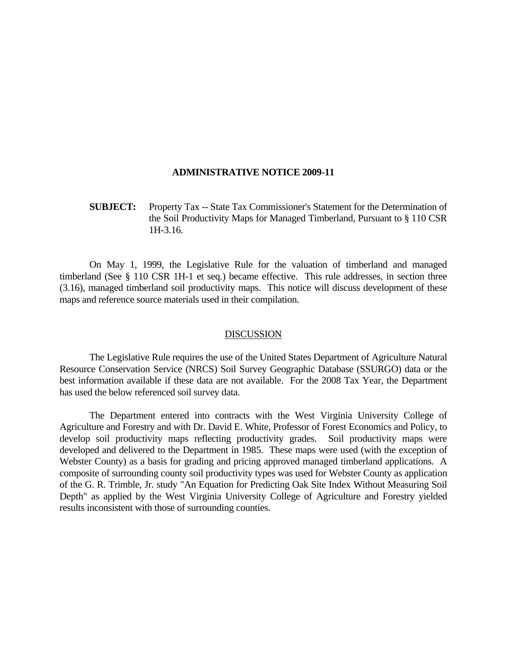## **ADMINISTRATIVE NOTICE 2009-11**

 **SUBJECT:** Property Tax -- State Tax Commissioner's Statement for the Determination of the Soil Productivity Maps for Managed Timberland, Pursuant to § 110 CSR 1H-3.16.

 On May 1, 1999, the Legislative Rule for the valuation of timberland and managed timberland (See § 110 CSR 1H-1 et seq.) became effective. This rule addresses, in section three (3.16), managed timberland soil productivity maps. This notice will discuss development of these maps and reference source materials used in their compilation.

## DISCUSSION

 The Legislative Rule requires the use of the United States Department of Agriculture Natural Resource Conservation Service (NRCS) Soil Survey Geographic Database (SSURGO) data or the best information available if these data are not available. For the 2008 Tax Year, the Department has used the below referenced soil survey data.

 The Department entered into contracts with the West Virginia University College of Agriculture and Forestry and with Dr. David E. White, Professor of Forest Economics and Policy, to develop soil productivity maps reflecting productivity grades. Soil productivity maps were developed and delivered to the Department in 1985. These maps were used (with the exception of Webster County) as a basis for grading and pricing approved managed timberland applications. A composite of surrounding county soil productivity types was used for Webster County as application of the G. R. Trimble, Jr. study "An Equation for Predicting Oak Site Index Without Measuring Soil Depth" as applied by the West Virginia University College of Agriculture and Forestry yielded results inconsistent with those of surrounding counties.